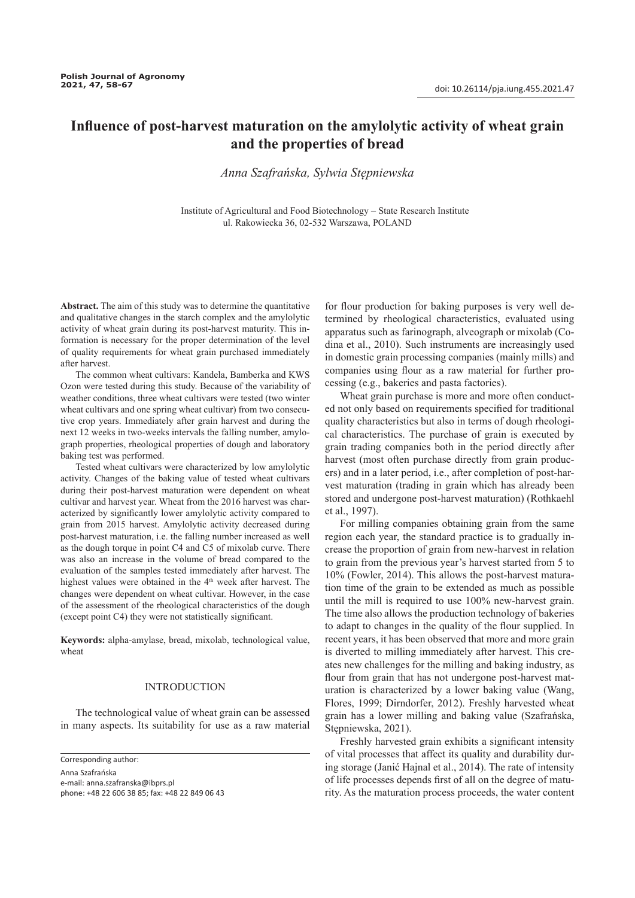# **Influence of post-harvest maturation on the amylolytic activity of wheat grain and the properties of bread**

*Anna Szafrańska, Sylwia Stępniewska*

Institute of Agricultural and Food Biotechnology – State Research Institute ul. Rakowiecka 36, 02-532 Warszawa, POLAND

**Abstract.** The aim of this study was to determine the quantitative and qualitative changes in the starch complex and the amylolytic activity of wheat grain during its post-harvest maturity. This information is necessary for the proper determination of the level of quality requirements for wheat grain purchased immediately after harvest.

The common wheat cultivars: Kandela, Bamberka and KWS Ozon were tested during this study. Because of the variability of weather conditions, three wheat cultivars were tested (two winter wheat cultivars and one spring wheat cultivar) from two consecutive crop years. Immediately after grain harvest and during the next 12 weeks in two-weeks intervals the falling number, amylograph properties, rheological properties of dough and laboratory baking test was performed.

Tested wheat cultivars were characterized by low amylolytic activity. Changes of the baking value of tested wheat cultivars during their post-harvest maturation were dependent on wheat cultivar and harvest year. Wheat from the 2016 harvest was characterized by significantly lower amylolytic activity compared to grain from 2015 harvest. Amylolytic activity decreased during post-harvest maturation, i.e. the falling number increased as well as the dough torque in point C4 and C5 of mixolab curve. There was also an increase in the volume of bread compared to the evaluation of the samples tested immediately after harvest. The highest values were obtained in the 4<sup>th</sup> week after harvest. The changes were dependent on wheat cultivar. However, in the case of the assessment of the rheological characteristics of the dough (except point C4) they were not statistically significant.

**Keywords:** alpha-amylase, bread, mixolab, technological value, wheat

### **INTRODUCTION**

The technological value of wheat grain can be assessed in many aspects. Its suitability for use as a raw material

Corresponding author:

Anna Szafrańska

e-mail: anna.szafranska@ibprs.pl phone: +48 22 606 38 85; fax: +48 22 849 06 43 for flour production for baking purposes is very well determined by rheological characteristics, evaluated using apparatus such as farinograph, alveograph or mixolab (Codina et al., 2010). Such instruments are increasingly used in domestic grain processing companies (mainly mills) and companies using flour as a raw material for further processing (e.g., bakeries and pasta factories).

Wheat grain purchase is more and more often conducted not only based on requirements specified for traditional quality characteristics but also in terms of dough rheological characteristics. The purchase of grain is executed by grain trading companies both in the period directly after harvest (most often purchase directly from grain producers) and in a later period, i.e., after completion of post-harvest maturation (trading in grain which has already been stored and undergone post-harvest maturation) (Rothkaehl et al., 1997).

For milling companies obtaining grain from the same region each year, the standard practice is to gradually increase the proportion of grain from new-harvest in relation to grain from the previous year's harvest started from 5 to 10% (Fowler, 2014). This allows the post-harvest maturation time of the grain to be extended as much as possible until the mill is required to use 100% new-harvest grain. The time also allows the production technology of bakeries to adapt to changes in the quality of the flour supplied. In recent years, it has been observed that more and more grain is diverted to milling immediately after harvest. This creates new challenges for the milling and baking industry, as flour from grain that has not undergone post-harvest maturation is characterized by a lower baking value (Wang, Flores, 1999; Dirndorfer, 2012). Freshly harvested wheat grain has a lower milling and baking value (Szafrańska, Stępniewska, 2021).

Freshly harvested grain exhibits a significant intensity of vital processes that affect its quality and durability during storage (Janić Hajnal et al., 2014). The rate of intensity of life processes depends first of all on the degree of maturity. As the maturation process proceeds, the water content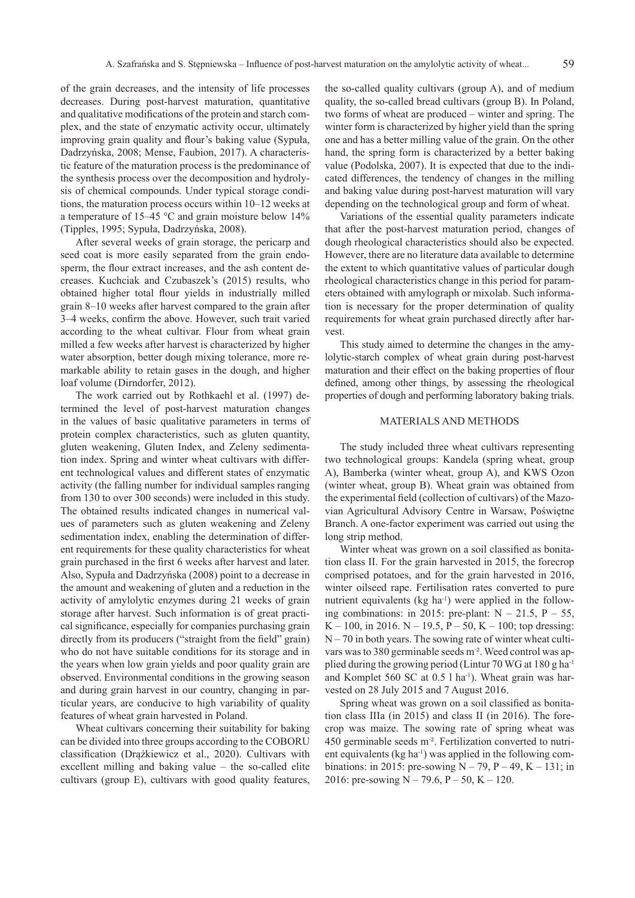of the grain decreases, and the intensity of life processes decreases. During post-harvest maturation, quantitative and qualitative modifications of the protein and starch complex, and the state of enzymatic activity occur, ultimately improving grain quality and flour's baking value (Sypuła, Dadrzyńska, 2008; Mense, Faubion, 2017). A characteristic feature of the maturation process is the predominance of the synthesis process over the decomposition and hydrolysis of chemical compounds. Under typical storage conditions, the maturation process occurs within 10–12 weeks at a temperature of 15–45 °C and grain moisture below 14% (Tipples, 1995; Sypuła, Dadrzyńska, 2008).

After several weeks of grain storage, the pericarp and seed coat is more easily separated from the grain endosperm, the flour extract increases, and the ash content decreases. Kuchciak and Czubaszek's (2015) results, who obtained higher total flour yields in industrially milled grain 8–10 weeks after harvest compared to the grain after 3–4 weeks, confirm the above. However, such trait varied according to the wheat cultivar. Flour from wheat grain milled a few weeks after harvest is characterized by higher water absorption, better dough mixing tolerance, more remarkable ability to retain gases in the dough, and higher loaf volume (Dirndorfer, 2012).

The work carried out by Rothkaehl et al. (1997) determined the level of post-harvest maturation changes in the values of basic qualitative parameters in terms of protein complex characteristics, such as gluten quantity, gluten weakening, Gluten Index, and Zeleny sedimentation index. Spring and winter wheat cultivars with different technological values and different states of enzymatic activity (the falling number for individual samples ranging from 130 to over 300 seconds) were included in this study. The obtained results indicated changes in numerical values of parameters such as gluten weakening and Zeleny sedimentation index, enabling the determination of different requirements for these quality characteristics for wheat grain purchased in the first 6 weeks after harvest and later. Also, Sypuła and Dadrzyńska (2008) point to a decrease in the amount and weakening of gluten and a reduction in the activity of amylolytic enzymes during 21 weeks of grain storage after harvest. Such information is of great practical significance, especially for companies purchasing grain directly from its producers ("straight from the field" grain) who do not have suitable conditions for its storage and in the years when low grain yields and poor quality grain are observed. Environmental conditions in the growing season and during grain harvest in our country, changing in particular years, are conducive to high variability of quality features of wheat grain harvested in Poland.

Wheat cultivars concerning their suitability for baking can be divided into three groups according to the COBORU classification (Drążkiewicz et al., 2020). Cultivars with excellent milling and baking value – the so-called elite cultivars (group E), cultivars with good quality features,

the so-called quality cultivars (group A), and of medium quality, the so-called bread cultivars (group B). In Poland, two forms of wheat are produced – winter and spring. The winter form is characterized by higher yield than the spring one and has a better milling value of the grain. On the other hand, the spring form is characterized by a better baking value (Podolska, 2007). It is expected that due to the indicated differences, the tendency of changes in the milling and baking value during post-harvest maturation will vary depending on the technological group and form of wheat.

Variations of the essential quality parameters indicate that after the post-harvest maturation period, changes of dough rheological characteristics should also be expected. However, there are no literature data available to determine the extent to which quantitative values of particular dough rheological characteristics change in this period for parameters obtained with amylograph or mixolab. Such information is necessary for the proper determination of quality requirements for wheat grain purchased directly after harvest.

This study aimed to determine the changes in the amylolytic-starch complex of wheat grain during post-harvest maturation and their effect on the baking properties of flour defined, among other things, by assessing the rheological properties of dough and performing laboratory baking trials.

#### MATERIALS AND METHODS

The study included three wheat cultivars representing two technological groups: Kandela (spring wheat, group A), Bamberka (winter wheat, group A), and KWS Ozon (winter wheat, group B). Wheat grain was obtained from the experimental field (collection of cultivars) of the Mazovian Agricultural Advisory Centre in Warsaw, Poświętne Branch. A one-factor experiment was carried out using the long strip method.

Winter wheat was grown on a soil classified as bonitation class II. For the grain harvested in 2015, the forecrop comprised potatoes, and for the grain harvested in 2016, winter oilseed rape. Fertilisation rates converted to pure nutrient equivalents ( $kg \text{ ha}^{-1}$ ) were applied in the following combinations: in 2015: pre-plant:  $N - 21.5$ ,  $P - 55$ , K – 100, in 2016. N – 19.5, P – 50, K – 100; top dressing:  $N - 70$  in both years. The sowing rate of winter wheat cultivars was to 380 germinable seeds m<sup>-2</sup>. Weed control was applied during the growing period (Lintur 70 WG at 180 g ha-1 and Komplet 560 SC at 0.5 l ha<sup>-1</sup>). Wheat grain was harvested on 28 July 2015 and 7 August 2016.

Spring wheat was grown on a soil classified as bonitation class IIIa (in 2015) and class II (in 2016). The forecrop was maize. The sowing rate of spring wheat was 450 germinable seeds m- ². Fertilization converted to nutrient equivalents (kg ha<sup>-1</sup>) was applied in the following combinations: in 2015: pre-sowing  $N - 79$ ,  $P - 49$ ,  $K - 131$ ; in 2016: pre-sowing  $N - 79.6$ ,  $P - 50$ ,  $K - 120$ .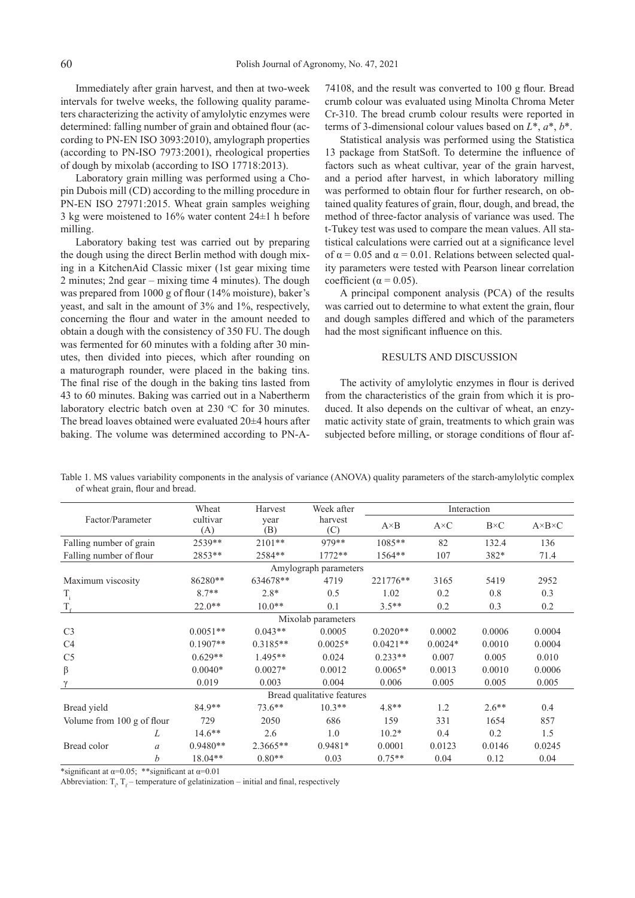Immediately after grain harvest, and then at two-week intervals for twelve weeks, the following quality parameters characterizing the activity of amylolytic enzymes were determined: falling number of grain and obtained flour (according to PN-EN ISO 3093:2010), amylograph properties (according to PN-ISO 7973:2001), rheological properties of dough by mixolab (according to ISO 17718:2013).

Laboratory grain milling was performed using a Chopin Dubois mill (CD) according to the milling procedure in PN-EN ISO 27971:2015. Wheat grain samples weighing 3 kg were moistened to 16% water content 24±1 h before milling.

Laboratory baking test was carried out by preparing the dough using the direct Berlin method with dough mixing in a KitchenAid Classic mixer (1st gear mixing time 2 minutes; 2nd gear – mixing time 4 minutes). The dough was prepared from 1000 g of flour (14% moisture), baker's yeast, and salt in the amount of 3% and 1%, respectively, concerning the flour and water in the amount needed to obtain a dough with the consistency of 350 FU. The dough was fermented for 60 minutes with a folding after 30 minutes, then divided into pieces, which after rounding on a maturograph rounder, were placed in the baking tins. The final rise of the dough in the baking tins lasted from 43 to 60 minutes. Baking was carried out in a Nabertherm laboratory electric batch oven at  $230 °C$  for 30 minutes. The bread loaves obtained were evaluated 20±4 hours after baking. The volume was determined according to PN-A-

74108, and the result was converted to 100 g flour. Bread crumb colour was evaluated using Minolta Chroma Meter Cr-310. The bread crumb colour results were reported in terms of 3-dimensional colour values based on *L*\*, *a*\*, *b*\*.

Statistical analysis was performed using the Statistica 13 package from StatSoft. To determine the influence of factors such as wheat cultivar, year of the grain harvest, and a period after harvest, in which laboratory milling was performed to obtain flour for further research, on obtained quality features of grain, flour, dough, and bread, the method of three-factor analysis of variance was used. The t-Tukey test was used to compare the mean values. All statistical calculations were carried out at a significance level of  $\alpha$  = 0.05 and  $\alpha$  = 0.01. Relations between selected quality parameters were tested with Pearson linear correlation coefficient ( $\alpha$  = 0.05).

A principal component analysis (PCA) of the results was carried out to determine to what extent the grain, flour and dough samples differed and which of the parameters had the most significant influence on this.

## RESULTS AND DISCUSSION

The activity of amylolytic enzymes in flour is derived from the characteristics of the grain from which it is produced. It also depends on the cultivar of wheat, an enzymatic activity state of grain, treatments to which grain was subjected before milling, or storage conditions of flour af-

Table 1. MS values variability components in the analysis of variance (ANOVA) quality parameters of the starch-amylolytic complex of wheat grain, flour and bread.

|                            | Wheat           | Harvest                       | Week after |              | Interaction  |             |                       |  |
|----------------------------|-----------------|-------------------------------|------------|--------------|--------------|-------------|-----------------------|--|
| Factor/Parameter           | cultivar<br>(A) | harvest<br>year<br>(B)<br>(C) |            | $A \times B$ | $A \times C$ | $B\times C$ | $A \times B \times C$ |  |
| Falling number of grain    | 2539**          | $2101**$                      | 979**      | 1085**       | 82           | 132.4       | 136                   |  |
| Falling number of flour    | 2853**          | 2584**                        | $1772**$   | 1564**       | 107          | 382*        | 71.4                  |  |
| Amylograph parameters      |                 |                               |            |              |              |             |                       |  |
| Maximum viscosity          | 86280**         | 634678**                      | 4719       | 221776**     | 3165         | 5419        | 2952                  |  |
| $\rm T_i$                  | $8.7**$         | $2.8*$                        | 0.5        | 1.02         | 0.2          | 0.8         | 0.3                   |  |
| $T_{\epsilon}$             | $22.0**$        | $10.0**$                      | 0.1        | $3.5**$      | 0.2          | 0.3         | 0.2                   |  |
| Mixolab parameters         |                 |                               |            |              |              |             |                       |  |
| C <sub>3</sub>             | $0.0051**$      | $0.043**$                     | 0.0005     | $0.2020**$   | 0.0002       | 0.0006      | 0.0004                |  |
| C <sub>4</sub>             | $0.1907**$      | $0.3185**$                    | $0.0025*$  | $0.0421**$   | $0.0024*$    | 0.0010      | 0.0004                |  |
| C <sub>5</sub>             | $0.629**$       | $1.495**$                     | 0.024      | $0.233**$    | 0.007        | 0.005       | 0.010                 |  |
| $\beta$                    | $0.0040*$       | $0.0027*$                     | 0.0012     | $0.0065*$    | 0.0013       | 0.0010      | 0.0006                |  |
| $\gamma$                   | 0.019           | 0.003                         | 0.004      | 0.006        | 0.005        | 0.005       | 0.005                 |  |
| Bread qualitative features |                 |                               |            |              |              |             |                       |  |
| Bread yield                | 84.9**          | $73.6**$                      | $10.3**$   | $4.8**$      | 1.2          | $2.6**$     | 0.4                   |  |
| Volume from 100 g of flour | 729             | 2050                          | 686        | 159          | 331          | 1654        | 857                   |  |
| L                          | $14.6***$       | 2.6                           | 1.0        | $10.2*$      | 0.4          | 0.2         | 1.5                   |  |
| Bread color<br>a           | $0.9480**$      | 2.3665**                      | $0.9481*$  | 0.0001       | 0.0123       | 0.0146      | 0.0245                |  |
| b                          | $18.04**$       | $0.80**$                      | 0.03       | $0.75**$     | 0.04         | 0.12        | 0.04                  |  |

\*significant at  $\alpha$ =0.05; \*\*significant at  $\alpha$ =0.01

Abbreviation:  $T_i$ ,  $T_f$  – temperature of gelatinization – initial and final, respectively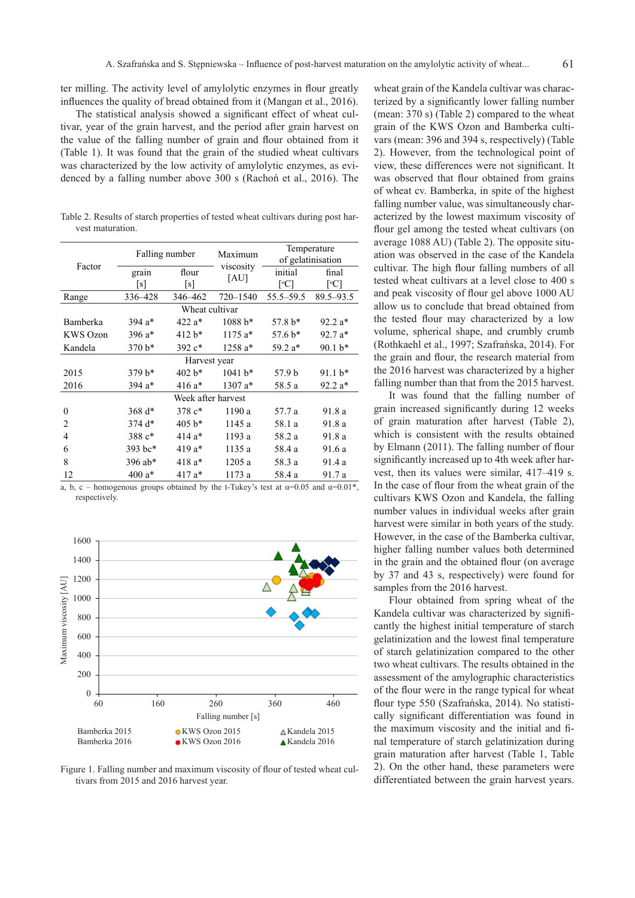ter milling. The activity level of amylolytic enzymes in flour greatly influences the quality of bread obtained from it (Mangan et al., 2016).

The statistical analysis showed a significant effect of wheat cultivar, year of the grain harvest, and the period after grain harvest on the value of the falling number of grain and flour obtained from it (Table 1). It was found that the grain of the studied wheat cultivars was characterized by the low activity of amylolytic enzymes, as evidenced by a falling number above 300 s (Rachoń et al., 2016). The

Table 2. Results of starch properties of tested wheat cultivars during post harvest maturation.

| Factor             | Falling number |          | Maximum           | Temperature<br>of gelatinisation |               |  |  |
|--------------------|----------------|----------|-------------------|----------------------------------|---------------|--|--|
|                    | grain          | flour    | viscosity<br>[AU] | initial                          | final         |  |  |
|                    | [s]            | [s]      |                   | $\lceil{^{\circ}C}\rceil$        | [°C]          |  |  |
| Range              | 336-428        | 346-462  | $720 - 1540$      | 55.5–59.5                        | $89.5 - 93.5$ |  |  |
| Wheat cultivar     |                |          |                   |                                  |               |  |  |
| Bamberka           | 394 $a*$       | 422 a*   | $1088 b*$         | $57.8 b*$                        | 92.2 a*       |  |  |
| <b>KWS</b> Ozon    | 396 $a*$       | $412 b*$ | $1175a*$          | $57.6 b*$                        | $92.7a*$      |  |  |
| Kandela            | $370 b*$       | 392 c*   | 1258 a*           | 59.2 a*                          | 90.1 b*       |  |  |
| Harvest year       |                |          |                   |                                  |               |  |  |
| 2015               | $379 b*$       | $402 b*$ | $1041 b*$         | 57.9 b                           | 91.1 b*       |  |  |
| 2016               | 394 a*         | 416 a*   | $1307 a*$         | 58.5 a                           | $92.2 a*$     |  |  |
| Week after harvest |                |          |                   |                                  |               |  |  |
| $\theta$           | 368 $d*$       | 378 c*   | 1190 a            | 57.7 a                           | 91.8 a        |  |  |
| $\overline{c}$     | $374d*$        | $405 b*$ | 1145 a            | 58.1 a                           | 91.8 a        |  |  |
| 4                  | 388 c*         | $414a*$  | 1193 a            | 58.2 a                           | 91.8 a        |  |  |
| 6                  | 393 bc*        | 419 a*   | 1135 a            | 58.4 a                           | 91.6 a        |  |  |
| 8                  | 396 ab*        | 418 a*   | 1205 a            | 58.3 a                           | 91.4 a        |  |  |
| 12                 | 400 $a*$       | 417 a*   | 1173 a            | 58.4 a                           | 91.7 a        |  |  |

a, b, c – homogenous groups obtained by the t-Tukey's test at  $\alpha=0.05$  and  $\alpha=0.01^*$ , respectively.



Figure 1. Falling number and maximum viscosity of flour of tested wheat cultivars from 2015 and 2016 harvest year.

wheat grain of the Kandela cultivar was characterized by a significantly lower falling number (mean: 370 s) (Table 2) compared to the wheat grain of the KWS Ozon and Bamberka cultivars (mean: 396 and 394 s, respectively) (Table 2). However, from the technological point of view, these differences were not significant. It was observed that flour obtained from grains of wheat cv. Bamberka, in spite of the highest falling number value, was simultaneously characterized by the lowest maximum viscosity of flour gel among the tested wheat cultivars (on average 1088 AU) (Table 2). The opposite situation was observed in the case of the Kandela cultivar. The high flour falling numbers of all tested wheat cultivars at a level close to 400 s and peak viscosity of flour gel above 1000 AU allow us to conclude that bread obtained from the tested flour may characterized by a low volume, spherical shape, and crumbly crumb (Rothkaehl et al., 1997; Szafrańska, 2014). For the grain and flour, the research material from the 2016 harvest was characterized by a higher falling number than that from the 2015 harvest.

It was found that the falling number of grain increased significantly during 12 weeks of grain maturation after harvest (Table 2), which is consistent with the results obtained by Elmann (2011). The falling number of flour significantly increased up to 4th week after harvest, then its values were similar, 417–419 s. In the case of flour from the wheat grain of the cultivars KWS Ozon and Kandela, the falling number values in individual weeks after grain harvest were similar in both years of the study. However, in the case of the Bamberka cultivar, higher falling number values both determined in the grain and the obtained flour (on average by 37 and 43 s, respectively) were found for samples from the 2016 harvest.

Flour obtained from spring wheat of the Kandela cultivar was characterized by significantly the highest initial temperature of starch gelatinization and the lowest final temperature of starch gelatinization compared to the other two wheat cultivars. The results obtained in the assessment of the amylographic characteristics of the flour were in the range typical for wheat flour type 550 (Szafrańska, 2014). No statistically significant differentiation was found in the maximum viscosity and the initial and final temperature of starch gelatinization during grain maturation after harvest (Table 1, Table 2). On the other hand, these parameters were differentiated between the grain harvest years.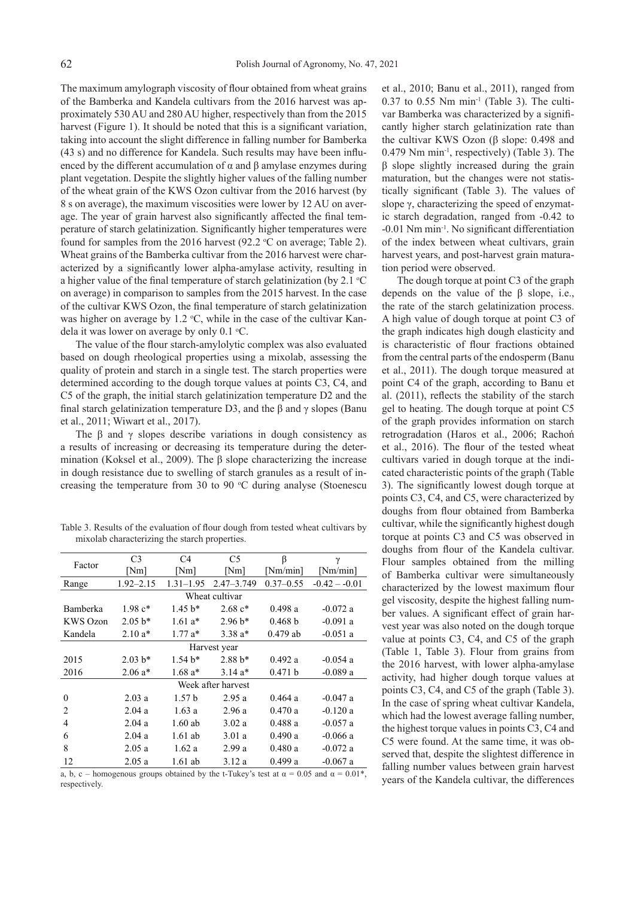The maximum amylograph viscosity of flour obtained from wheat grains of the Bamberka and Kandela cultivars from the 2016 harvest was approximately 530 AU and 280 AU higher, respectively than from the 2015 harvest (Figure 1). It should be noted that this is a significant variation, taking into account the slight difference in falling number for Bamberka (43 s) and no difference for Kandela. Such results may have been influenced by the different accumulation of  $\alpha$  and  $\beta$  amylase enzymes during plant vegetation. Despite the slightly higher values of the falling number of the wheat grain of the KWS Ozon cultivar from the 2016 harvest (by 8 s on average), the maximum viscosities were lower by 12 AU on average. The year of grain harvest also significantly affected the final temperature of starch gelatinization. Significantly higher temperatures were found for samples from the 2016 harvest  $(92.2 \text{ °C})$  on average; Table 2). Wheat grains of the Bamberka cultivar from the 2016 harvest were characterized by a significantly lower alpha-amylase activity, resulting in a higher value of the final temperature of starch gelatinization (by  $2.1 \text{ }^{\circ}\text{C}$ on average) in comparison to samples from the 2015 harvest. In the case of the cultivar KWS Ozon, the final temperature of starch gelatinization was higher on average by  $1.2 \text{ }^{\circ}\text{C}$ , while in the case of the cultivar Kandela it was lower on average by only  $0.1 \text{ }^{\circ}\text{C}$ .

The value of the flour starch-amylolytic complex was also evaluated based on dough rheological properties using a mixolab, assessing the quality of protein and starch in a single test. The starch properties were determined according to the dough torque values at points C3, C4, and C5 of the graph, the initial starch gelatinization temperature D2 and the final starch gelatinization temperature D3, and the  $\beta$  and  $\gamma$  slopes (Banu et al., 2011; Wiwart et al., 2017).

The  $\beta$  and  $\gamma$  slopes describe variations in dough consistency as a results of increasing or decreasing its temperature during the determination (Koksel et al., 2009). The β slope characterizing the increase in dough resistance due to swelling of starch granules as a result of increasing the temperature from 30 to 90  $^{\circ}$ C during analyse (Stoenescu

Table 3. Results of the evaluation of flour dough from tested wheat cultivars by mixolab characterizing the starch properties.

| Factor             | C <sub>3</sub> | C <sub>4</sub> | C5             | β             | γ              |  |
|--------------------|----------------|----------------|----------------|---------------|----------------|--|
|                    | [Nm]           | [Nm]           | [Nm]           | [Nm/min]      | [Nm/min]       |  |
| Range              | $1.92 - 2.15$  | $1.31 - 1.95$  | $2.47 - 3.749$ | $0.37 - 0.55$ | $-0.42 - 0.01$ |  |
| Wheat cultivar     |                |                |                |               |                |  |
| Bamberka           | $1.98c*$       | $1.45 h*$      | $2.68 c*$      | 0.498a        | $-0.072a$      |  |
| <b>KWS</b> Ozon    | $2.05 b*$      | $1.61a*$       | $2.96 b*$      | 0.468 b       | $-0.091$ a     |  |
| Kandela            | $2.10a*$       | $1.77a*$       | $3.38a*$       | $0.479$ ab    | $-0.051$ a     |  |
| Harvest year       |                |                |                |               |                |  |
| 2015               | $2.03 b*$      | $1.54 h*$      | $2.88 h*$      | 0.492 a       | $-0.054$ a     |  |
| 2016               | $2.06a*$       | $1.68a*$       | $3.14a*$       | 0.471 b       | $-0.089a$      |  |
| Week after harvest |                |                |                |               |                |  |
| $\theta$           | 2.03a          | 1.57h          | 2.95a          | 0.464a        | $-0.047$ a     |  |
| $\overline{c}$     | 2.04a          | 1.63a          | 2.96a          | 0.470a        | $-0.120a$      |  |
| $\overline{4}$     | 2.04a          | $1.60$ ab      | 3.02a          | 0.488a        | $-0.057$ a     |  |
| 6                  | 2.04a          | $1.61$ ab      | 3.01a          | 0.490a        | $-0.066a$      |  |
| 8                  | 2.05a          | 1.62a          | 2.99a          | 0.480a        | $-0.072a$      |  |
| 12                 | 2.05a          | 1.61 ab        | 3.12a          | 0.499a        | $-0.067$ a     |  |

a, b, c – homogenous groups obtained by the t-Tukey's test at  $\alpha = 0.05$  and  $\alpha = 0.01^*$ , respectively.

et al., 2010; Banu et al., 2011), ranged from  $0.37$  to  $0.55$  Nm min<sup>-1</sup> (Table 3). The cultivar Bamberka was characterized by a significantly higher starch gelatinization rate than the cultivar KWS Ozon (β slope: 0.498 and 0.479 Nm min-1, respectively) (Table 3). The β slope slightly increased during the grain maturation, but the changes were not statistically significant (Table 3). The values of slope γ, characterizing the speed of enzymatic starch degradation, ranged from -0.42 to -0.01 Nm min-1. No significant differentiation of the index between wheat cultivars, grain harvest years, and post-harvest grain maturation period were observed.

The dough torque at point C3 of the graph depends on the value of the β slope, i.e., the rate of the starch gelatinization process. A high value of dough torque at point C3 of the graph indicates high dough elasticity and is characteristic of flour fractions obtained from the central parts of the endosperm (Banu et al., 2011). The dough torque measured at point C4 of the graph, according to Banu et al. (2011), reflects the stability of the starch gel to heating. The dough torque at point C5 of the graph provides information on starch retrogradation (Haros et al., 2006; Rachoń et al., 2016). The flour of the tested wheat cultivars varied in dough torque at the indicated characteristic points of the graph (Table 3). The significantly lowest dough torque at points C3, C4, and C5, were characterized by doughs from flour obtained from Bamberka cultivar, while the significantly highest dough torque at points C3 and C5 was observed in doughs from flour of the Kandela cultivar. Flour samples obtained from the milling of Bamberka cultivar were simultaneously characterized by the lowest maximum flour gel viscosity, despite the highest falling number values. A significant effect of grain harvest year was also noted on the dough torque value at points C3, C4, and C5 of the graph (Table 1, Table 3). Flour from grains from the 2016 harvest, with lower alpha-amylase activity, had higher dough torque values at points C3, C4, and C5 of the graph (Table 3). In the case of spring wheat cultivar Kandela, which had the lowest average falling number, the highest torque values in points C3, C4 and C5 were found. At the same time, it was observed that, despite the slightest difference in falling number values between grain harvest years of the Kandela cultivar, the differences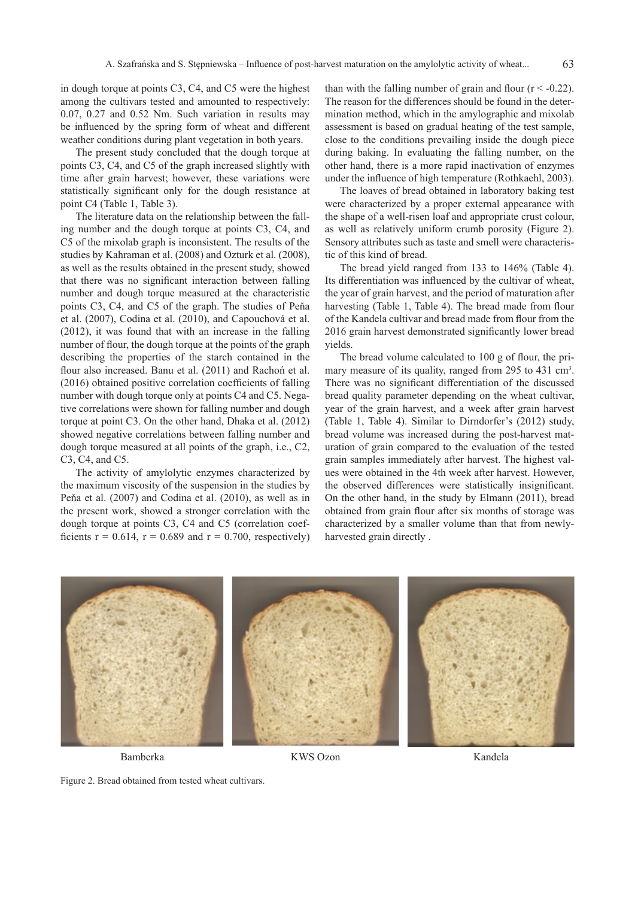in dough torque at points C3, C4, and C5 were the highest among the cultivars tested and amounted to respectively: 0.07, 0.27 and 0.52 Nm. Such variation in results may be influenced by the spring form of wheat and different weather conditions during plant vegetation in both years.

The present study concluded that the dough torque at points C3, C4, and C5 of the graph increased slightly with time after grain harvest; however, these variations were statistically significant only for the dough resistance at point C4 (Table 1, Table 3).

The literature data on the relationship between the falling number and the dough torque at points C3, C4, and C5 of the mixolab graph is inconsistent. The results of the studies by Kahraman et al. (2008) and Ozturk et al. (2008), as well as the results obtained in the present study, showed that there was no significant interaction between falling number and dough torque measured at the characteristic points C3, C4, and C5 of the graph. The studies of Peňa et al. (2007), Codina et al. (2010), and Capouchová et al. (2012), it was found that with an increase in the falling number of flour, the dough torque at the points of the graph describing the properties of the starch contained in the flour also increased. Banu et al. (2011) and Rachoń et al. (2016) obtained positive correlation coefficients of falling number with dough torque only at points C4 and C5. Negative correlations were shown for falling number and dough torque at point C3. On the other hand, Dhaka et al. (2012) showed negative correlations between falling number and dough torque measured at all points of the graph, i.e., C2, C3, C4, and C5.

The activity of amylolytic enzymes characterized by the maximum viscosity of the suspension in the studies by Peňa et al. (2007) and Codina et al. (2010), as well as in the present work, showed a stronger correlation with the dough torque at points C3, C4 and C5 (correlation coefficients  $r = 0.614$ ,  $r = 0.689$  and  $r = 0.700$ , respectively)

than with the falling number of grain and flour  $(r < -0.22)$ . The reason for the differences should be found in the determination method, which in the amylographic and mixolab assessment is based on gradual heating of the test sample, close to the conditions prevailing inside the dough piece during baking. In evaluating the falling number, on the other hand, there is a more rapid inactivation of enzymes under the influence of high temperature (Rothkaehl, 2003).

63

The loaves of bread obtained in laboratory baking test were characterized by a proper external appearance with the shape of a well-risen loaf and appropriate crust colour, as well as relatively uniform crumb porosity (Figure 2). Sensory attributes such as taste and smell were characteristic of this kind of bread.

The bread yield ranged from 133 to 146% (Table 4). Its differentiation was influenced by the cultivar of wheat, the year of grain harvest, and the period of maturation after harvesting (Table 1, Table 4). The bread made from flour of the Kandela cultivar and bread made from flour from the 2016 grain harvest demonstrated significantly lower bread yields.

The bread volume calculated to 100 g of flour, the primary measure of its quality, ranged from 295 to 431 cm<sup>3</sup>. There was no significant differentiation of the discussed bread quality parameter depending on the wheat cultivar, year of the grain harvest, and a week after grain harvest (Table 1, Table 4). Similar to Dirndorfer's (2012) study, bread volume was increased during the post-harvest maturation of grain compared to the evaluation of the tested grain samples immediately after harvest. The highest values were obtained in the 4th week after harvest. However, the observed differences were statistically insignificant. On the other hand, in the study by Elmann (2011), bread obtained from grain flour after six months of storage was characterized by a smaller volume than that from newlyharvested grain directly .



Figure 2. Bread obtained from tested wheat cultivars.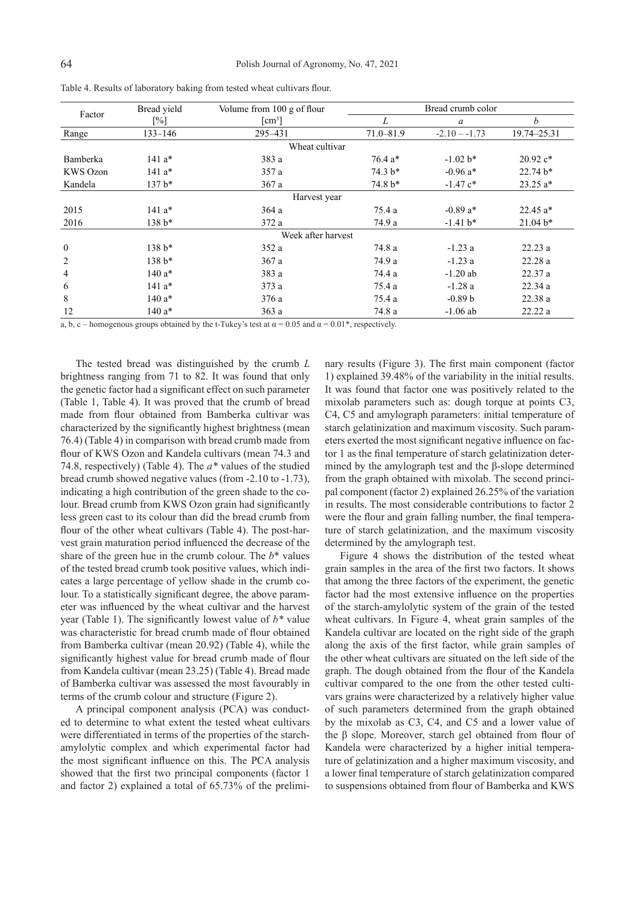| Factor             | Bread yield       | Volume from 100 g of flour        |               | Bread crumb color |             |  |  |  |
|--------------------|-------------------|-----------------------------------|---------------|-------------------|-------------|--|--|--|
|                    | $\lceil\% \rceil$ | $\lceil$ cm <sup>3</sup> $\rceil$ | L             | a                 | b           |  |  |  |
| Range              | $133 - 146$       | 295-431                           | $71.0 - 81.9$ | $-2.10 - -1.73$   | 19.74-25.31 |  |  |  |
|                    |                   | Wheat cultivar                    |               |                   |             |  |  |  |
| Bamberka           | $141a*$           | 383 a                             | $76.4 a*$     | $-1.02 b*$        | $20.92 c*$  |  |  |  |
| KWS Ozon           | $141a*$           | 357 a                             | $74.3 b*$     | $-0.96$ a*        | $22.74 b*$  |  |  |  |
| Kandela            | $137 b*$          | 367a                              | $74.8 b*$     | $-1.47$ $c*$      | $23.25 a*$  |  |  |  |
| Harvest year       |                   |                                   |               |                   |             |  |  |  |
| 2015               | $141a*$           | 364a                              | 75.4 a        | $-0.89a*$         | $22.45 a*$  |  |  |  |
| 2016               | 138 b*            | 372 a                             | 74.9 a        | $-1.41 b*$        | $21.04 b*$  |  |  |  |
| Week after harvest |                   |                                   |               |                   |             |  |  |  |
| $\mathbf{0}$       | $138 b*$          | 352a                              | 74.8 a        | $-1.23a$          | 22.23a      |  |  |  |
| 2                  | $138 b*$          | 367 a                             | 74.9 a        | $-1.23a$          | 22.28a      |  |  |  |
| 4                  | $140a*$           | 383 a                             | 74.4 a        | $-1.20$ ab        | 22.37a      |  |  |  |
| 6                  | $141a*$           | 373 a                             | 75.4 a        | $-1.28a$          | 22.34a      |  |  |  |
| 8                  | $140a*$           | 376a                              | 75.4 a        | $-0.89b$          | 22.38a      |  |  |  |
| 12                 | 140 a*            | 363 a                             | 74.8 a        | $-1.06$ ab        | 22.22a      |  |  |  |

Table 4. Results of laboratory baking from tested wheat cultivars flour.

a, b, c – homogenous groups obtained by the t-Tukey's test at  $\alpha = 0.05$  and  $\alpha = 0.01^*$ , respectively.

The tested bread was distinguished by the crumb *L*  brightness ranging from 71 to 82. It was found that only the genetic factor had a significant effect on such parameter (Table 1, Table 4). It was proved that the crumb of bread made from flour obtained from Bamberka cultivar was characterized by the significantly highest brightness (mean 76.4) (Table 4) in comparison with bread crumb made from flour of KWS Ozon and Kandela cultivars (mean 74.3 and 74.8, respectively) (Table 4). The *a\** values of the studied bread crumb showed negative values (from -2.10 to -1.73), indicating a high contribution of the green shade to the colour. Bread crumb from KWS Ozon grain had significantly less green cast to its colour than did the bread crumb from flour of the other wheat cultivars (Table 4). The post-harvest grain maturation period influenced the decrease of the share of the green hue in the crumb colour. The *b*\* values of the tested bread crumb took positive values, which indicates a large percentage of yellow shade in the crumb colour. To a statistically significant degree, the above parameter was influenced by the wheat cultivar and the harvest year (Table 1). The significantly lowest value of *b\** value was characteristic for bread crumb made of flour obtained from Bamberka cultivar (mean 20.92) (Table 4), while the significantly highest value for bread crumb made of flour from Kandela cultivar (mean 23.25) (Table 4). Bread made of Bamberka cultivar was assessed the most favourably in terms of the crumb colour and structure (Figure 2).

A principal component analysis (PCA) was conducted to determine to what extent the tested wheat cultivars were differentiated in terms of the properties of the starchamylolytic complex and which experimental factor had the most significant influence on this. The PCA analysis showed that the first two principal components (factor 1 and factor 2) explained a total of 65.73% of the prelimi-

nary results (Figure 3). The first main component (factor 1) explained 39.48% of the variability in the initial results. It was found that factor one was positively related to the mixolab parameters such as: dough torque at points C3, C4, C5 and amylograph parameters: initial temperature of starch gelatinization and maximum viscosity. Such parameters exerted the most significant negative influence on factor 1 as the final temperature of starch gelatinization determined by the amylograph test and the β-slope determined from the graph obtained with mixolab. The second principal component (factor 2) explained 26.25% of the variation in results. The most considerable contributions to factor 2 were the flour and grain falling number, the final temperature of starch gelatinization, and the maximum viscosity determined by the amylograph test.

Figure 4 shows the distribution of the tested wheat grain samples in the area of the first two factors. It shows that among the three factors of the experiment, the genetic factor had the most extensive influence on the properties of the starch-amylolytic system of the grain of the tested wheat cultivars. In Figure 4, wheat grain samples of the Kandela cultivar are located on the right side of the graph along the axis of the first factor, while grain samples of the other wheat cultivars are situated on the left side of the graph. The dough obtained from the flour of the Kandela cultivar compared to the one from the other tested cultivars grains were characterized by a relatively higher value of such parameters determined from the graph obtained by the mixolab as C3, C4, and C5 and a lower value of the β slope. Moreover, starch gel obtained from flour of Kandela were characterized by a higher initial temperature of gelatinization and a higher maximum viscosity, and a lower final temperature of starch gelatinization compared to suspensions obtained from flour of Bamberka and KWS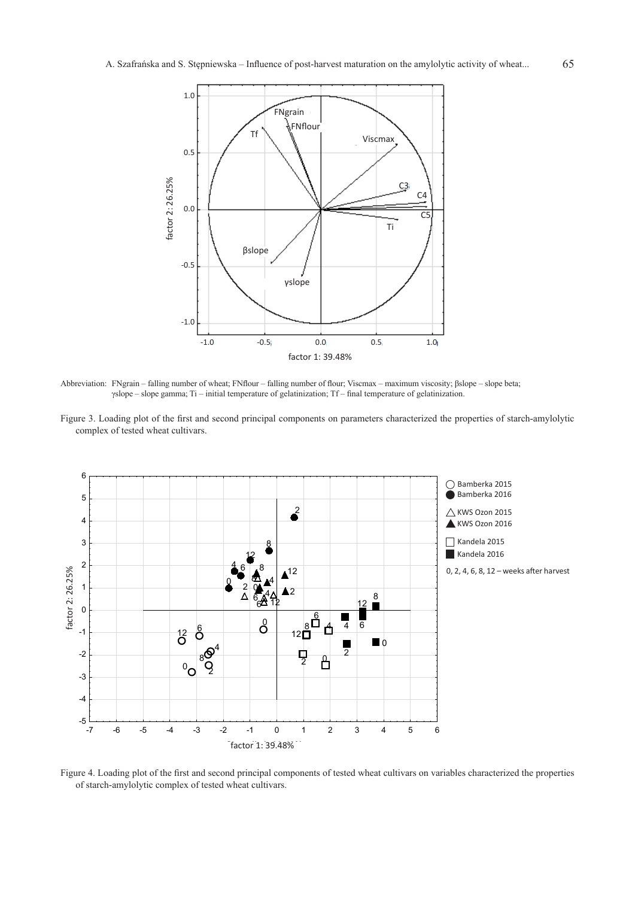

Abbreviation: FNgrain – falling number of wheat; FNflour – falling number of flour; Viscmax – maximum viscosity; βslope – slope beta; γslope – slope gamma; Ti – initial temperature of gelatinization; Tf – final temperature of gelatinization.

Figure 3. Loading plot of the first and second principal components on parameters characterized the properties of starch-amylolytic complex of tested wheat cultivars.



Figure 4. Loading plot of the first and second principal components of tested wheat cultivars on variables characterized the properties of starch-amylolytic complex of tested wheat cultivars.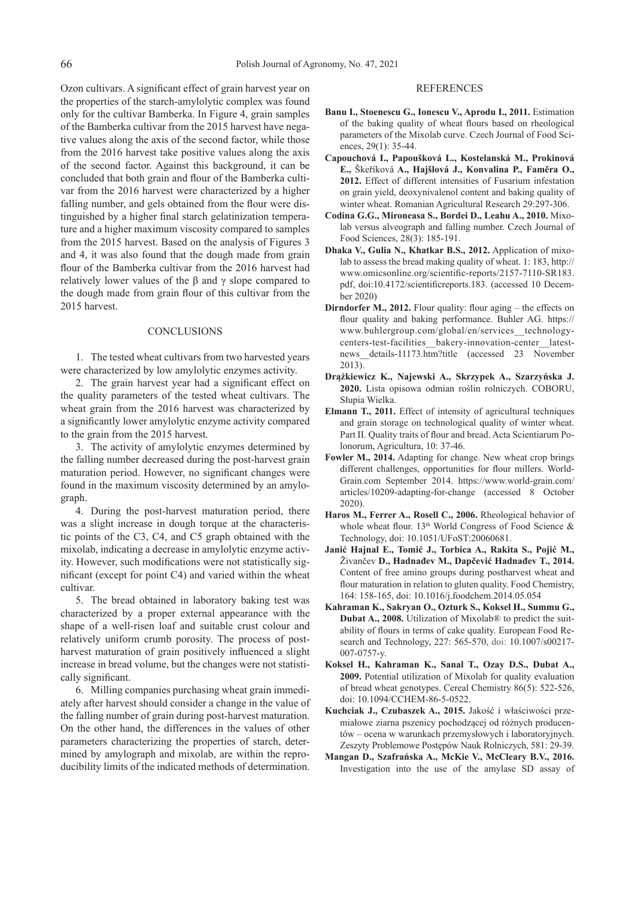Ozon cultivars. A significant effect of grain harvest year on the properties of the starch-amylolytic complex was found only for the cultivar Bamberka. In Figure 4, grain samples of the Bamberka cultivar from the 2015 harvest have negative values along the axis of the second factor, while those from the 2016 harvest take positive values along the axis of the second factor. Against this background, it can be concluded that both grain and flour of the Bamberka cultivar from the 2016 harvest were characterized by a higher falling number, and gels obtained from the flour were distinguished by a higher final starch gelatinization temperature and a higher maximum viscosity compared to samples from the 2015 harvest. Based on the analysis of Figures 3 and 4, it was also found that the dough made from grain flour of the Bamberka cultivar from the 2016 harvest had relatively lower values of the β and  $\gamma$  slope compared to the dough made from grain flour of this cultivar from the 2015 harvest.

#### **CONCLUSIONS**

1. The tested wheat cultivars from two harvested years were characterized by low amylolytic enzymes activity.

2. The grain harvest year had a significant effect on the quality parameters of the tested wheat cultivars. The wheat grain from the 2016 harvest was characterized by a significantly lower amylolytic enzyme activity compared to the grain from the 2015 harvest.

3. The activity of amylolytic enzymes determined by the falling number decreased during the post-harvest grain maturation period. However, no significant changes were found in the maximum viscosity determined by an amylograph.

4. During the post-harvest maturation period, there was a slight increase in dough torque at the characteristic points of the C3, C4, and C5 graph obtained with the mixolab, indicating a decrease in amylolytic enzyme activity. However, such modifications were not statistically significant (except for point C4) and varied within the wheat cultivar.

5. The bread obtained in laboratory baking test was characterized by a proper external appearance with the shape of a well-risen loaf and suitable crust colour and relatively uniform crumb porosity. The process of postharvest maturation of grain positively influenced a slight increase in bread volume, but the changes were not statistically significant.

6. Milling companies purchasing wheat grain immediately after harvest should consider a change in the value of the falling number of grain during post-harvest maturation. On the other hand, the differences in the values of other parameters characterizing the properties of starch, determined by amylograph and mixolab, are within the reproducibility limits of the indicated methods of determination.

### REFERENCES

- **Banu I., Stoenescu G., Ionescu V., Aprodu I., 2011.** Estimation of the baking quality of wheat flours based on rheological parameters of the Mixolab curve. Czech Journal of Food Sciences, 29(1): 35-44.
- **Capouchová I., Papoušková L., Kostelanská M., Prokinová E.,** Škeříková **A., Hajšlová J., Konvalina P., Faměra O., 2012.** Effect of different intensities of Fusarium infestation on grain yield, deoxynivalenol content and baking quality of winter wheat. Romanian Agricultural Research 29:297-306.
- **Codina G.G., Mironeasa S., Bordei D., Leahu A., 2010.** Mixolab versus alveograph and falling number. Czech Journal of Food Sciences, 28(3): 185-191.
- **Dhaka V., Gulia N., Khatkar B.S., 2012.** Application of mixolab to assess the bread making quality of wheat. 1: 183, http:// www.omicsonline.org/scientific-reports/2157-7110-SR183. pdf, doi:10.4172/scientificreports.183. (accessed 10 December 2020)
- **Dirndorfer M., 2012.** Flour quality: flour aging the effects on flour quality and baking performance. Buhler AG. https:// www.buhlergroup.com/global/en/services\_\_technologycenters-test-facilities\_\_bakery-innovation-center\_\_latestnews details-11173.htm?title (accessed 23 November 2013).
- **Drążkiewicz K., Najewski A., Skrzypek A., Szarzyńska J. 2020.** Lista opisowa odmian roślin rolniczych. COBORU, Słupia Wielka.
- **Elmann T., 2011.** Effect of intensity of agricultural techniques and grain storage on technological quality of winter wheat. Part II. Quality traits of flour and bread. Acta Scientiarum Polonorum, Agricultura, 10: 37-46.
- **Fowler M., 2014.** Adapting for change. New wheat crop brings different challenges, opportunities for flour millers. World-Grain.com September 2014. https://www.world-grain.com/ articles/10209-adapting-for-change (accessed 8 October 2020).
- **Haros M., Ferrer A., Rosell C., 2006.** Rheological behavior of whole wheat flour.  $13<sup>th</sup>$  World Congress of Food Science & Technology, doi: 10.1051/UFoST:20060681.
- **Janić Hajnal E., Tomić J., Torbica A., Rakita S., Pojić M.,**  Živančev **D., Hadnađev M., Dapčević Hadnađev T., 2014.** Content of free amino groups during postharvest wheat and flour maturation in relation to gluten quality. Food Chemistry, 164: 158-165, doi: 10.1016/j.foodchem.2014.05.054
- **Kahraman K., Sakryan O., Ozturk S., Koksel H., Summu G., Dubat A., 2008.** Utilization of Mixolab® to predict the suitability of flours in terms of cake quality. European Food Research and Technology, 227: 565-570, doi: 10.1007/s00217- 007-0757-y.
- **Koksel H., Kahraman K., Sanal T., Ozay D.S., Dubat A., 2009.** Potential utilization of Mixolab for quality evaluation of bread wheat genotypes. Cereal Chemistry 86(5): 522-526, doi: 10.1094/CCHEM-86-5-0522.
- **Kuchciak J., Czubaszek A., 2015.** Jakość i właściwości przemiałowe ziarna pszenicy pochodzącej od różnych producentów – ocena w warunkach przemysłowych i laboratoryjnych. Zeszyty Problemowe Postępów Nauk Rolniczych, 581: 29-39.
- **Mangan D., Szafrańska A., McKie V., McCleary B.V., 2016.** Investigation into the use of the amylase SD assay of